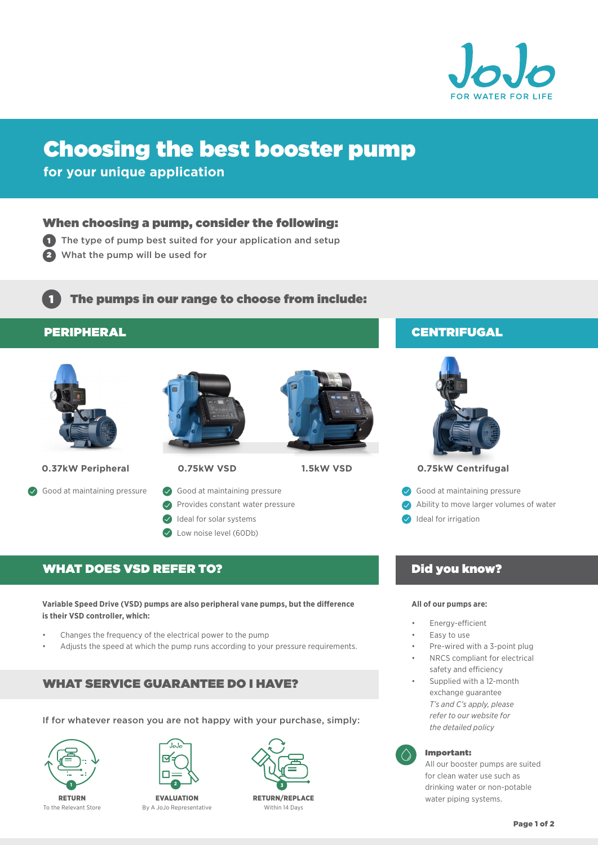

# Choosing the best booster pump

**for your unique application**

#### When choosing a pump, consider the following:

- 1 The type of pump best suited for your application and setup
- 2 What the pump will be used for

The pumps in our range to choose from include:

#### PERIPHERAL

1



**0.37kW Peripheral**

Good at maintaining pressure Good at maintaining pressure Cood at maintaining pressure







- 
- Good at maintaining pressure
- **Provides constant water pressure**
- Ideal for solar systems
- C Low noise level (60Db)

### WHAT DOES VSD REFER TO?

**Variable Speed Drive (VSD) pumps are also peripheral vane pumps, but the difference is their VSD controller, which:**

- Changes the frequency of the electrical power to the pump
- Adjusts the speed at which the pump runs according to your pressure requirements.

### WHAT SERVICE GUARANTEE DO I HAVE?

If for whatever reason you are not happy with your purchase, simply:





By A JoJo Representative



Within 14 Days

### **CENTRIFUGAL**



#### **0.75kW VSD 1.5kW VSD 0.75kW Centrifugal**

- 
- $\bullet$ Ability to move larger volumes of water
- Ideal for irrigation

### Did you know?

#### **All of our pumps are:**

- Energy-efficient
- Easy to use
- Pre-wired with a 3-point plug NRCS compliant for electrical
- safety and efficiency
- Supplied with a 12-month exchange guarantee *T's and C's apply, please refer to our website for the detailed policy*



#### Important:

All our booster pumps are suited for clean water use such as drinking water or non-potable water piping systems.